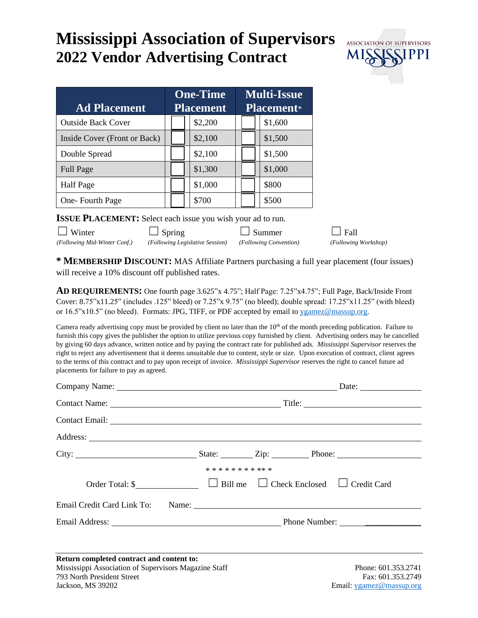## **Mississippi Association of Supervisors 2022 Vendor Advertising Contract**



| <b>Ad Placement</b>          | <b>One-Time</b><br><b>Placement</b> |  | <b>Multi-Issue</b><br><b>Placement</b> * |  |  |         |
|------------------------------|-------------------------------------|--|------------------------------------------|--|--|---------|
| <b>Outside Back Cover</b>    |                                     |  | \$2,200                                  |  |  | \$1,600 |
| Inside Cover (Front or Back) |                                     |  | \$2,100                                  |  |  | \$1,500 |
| Double Spread                |                                     |  | \$2,100                                  |  |  | \$1,500 |
| <b>Full Page</b>             |                                     |  | \$1,300                                  |  |  | \$1,000 |
| <b>Half</b> Page             |                                     |  | \$1,000                                  |  |  | \$800   |
| One-Fourth Page              |                                     |  | \$700                                    |  |  | \$500   |

**ISSUE PLACEMENT:** Select each issue you wish your ad to run.

| $\Box$ Winter                | $\Box$ Spring                                          | $\Box$ Summer | $\Box$ Fall          |
|------------------------------|--------------------------------------------------------|---------------|----------------------|
| (Following Mid-Winter Conf.) | (Following Legislative Session) (Following Convention) |               | (Following Workshop) |

**\* MEMBERSHIP DISCOUNT:** MAS Affiliate Partners purchasing a full year placement (four issues) will receive a 10% discount off published rates.

**AD REQUIREMENTS:** One fourth page 3.625"x 4.75"; Half Page: 7.25"x4.75"; Full Page, Back/Inside Front Cover: 8.75"x11.25" (includes .125" bleed) or 7.25"x 9.75" (no bleed); double spread: 17.25"x11.25" (with bleed) or 16.5"x10.5" (no bleed). Formats: JPG, TIFF, or PDF accepted by email to [ygamez@massup.org.](mailto:ygamez@massup.org)

Camera ready advertising copy must be provided by client no later than the  $10<sup>th</sup>$  of the month preceding publication. Failure to furnish this copy gives the publisher the option to utilize previous copy furnished by client. Advertising orders may be cancelled by giving 60 days advance, written notice and by paying the contract rate for published ads. *Mississippi Supervisor* reserves the right to reject any advertisement that it deems unsuitable due to content, style or size. Upon execution of contract, client agrees to the terms of this contract and to pay upon receipt of invoice. *Mississippi Supervisor* reserves the right to cancel future ad placements for failure to pay as agreed.

| Company Name: Date: Date:                                                                                                        |                      |  |                                          |
|----------------------------------------------------------------------------------------------------------------------------------|----------------------|--|------------------------------------------|
|                                                                                                                                  |                      |  |                                          |
|                                                                                                                                  |                      |  |                                          |
|                                                                                                                                  |                      |  |                                          |
|                                                                                                                                  |                      |  |                                          |
|                                                                                                                                  | * * * * * * * * ** * |  |                                          |
|                                                                                                                                  |                      |  |                                          |
|                                                                                                                                  |                      |  |                                          |
|                                                                                                                                  |                      |  |                                          |
|                                                                                                                                  |                      |  |                                          |
| Return completed contract and content to:<br>Mississippi Association of Supervisors Magazine Staff<br>793 North President Street |                      |  | Phone: 601.353.2741<br>Fax: 601.353.2749 |